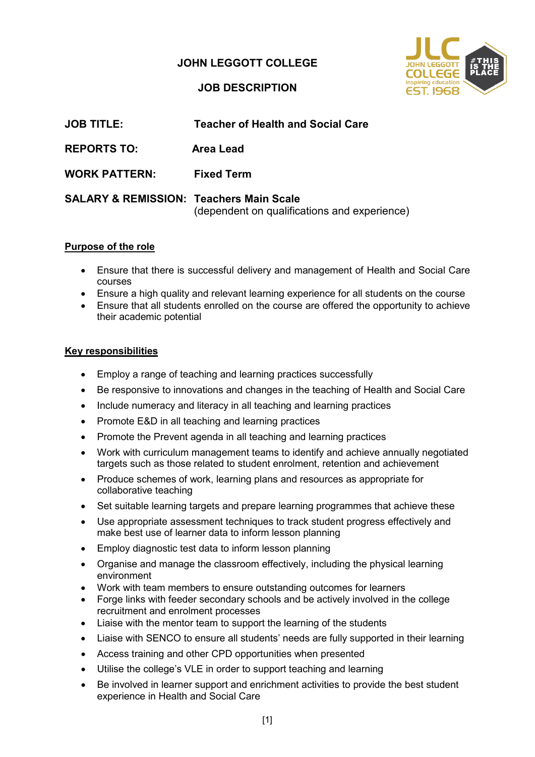## **JOHN LEGGOTT COLLEGE**



### **JOB DESCRIPTION**

| <b>JOB TITLE:</b>                                  | <b>Teacher of Health and Social Care</b>     |
|----------------------------------------------------|----------------------------------------------|
| <b>REPORTS TO:</b>                                 | Area Lead                                    |
| <b>WORK PATTERN:</b>                               | <b>Fixed Term</b>                            |
| <b>SALARY &amp; REMISSION: Teachers Main Scale</b> | (dependent on qualifications and experience) |

#### **Purpose of the role**

- Ensure that there is successful delivery and management of Health and Social Care courses
- Ensure a high quality and relevant learning experience for all students on the course
- Ensure that all students enrolled on the course are offered the opportunity to achieve their academic potential

### **Key responsibilities**

- Employ a range of teaching and learning practices successfully
- Be responsive to innovations and changes in the teaching of Health and Social Care
- Include numeracy and literacy in all teaching and learning practices
- Promote E&D in all teaching and learning practices
- Promote the Prevent agenda in all teaching and learning practices
- Work with curriculum management teams to identify and achieve annually negotiated targets such as those related to student enrolment, retention and achievement
- Produce schemes of work, learning plans and resources as appropriate for collaborative teaching
- Set suitable learning targets and prepare learning programmes that achieve these
- Use appropriate assessment techniques to track student progress effectively and make best use of learner data to inform lesson planning
- Employ diagnostic test data to inform lesson planning
- Organise and manage the classroom effectively, including the physical learning environment
- Work with team members to ensure outstanding outcomes for learners
- Forge links with feeder secondary schools and be actively involved in the college recruitment and enrolment processes
- Liaise with the mentor team to support the learning of the students
- Liaise with SENCO to ensure all students' needs are fully supported in their learning
- Access training and other CPD opportunities when presented
- Utilise the college's VLE in order to support teaching and learning
- Be involved in learner support and enrichment activities to provide the best student experience in Health and Social Care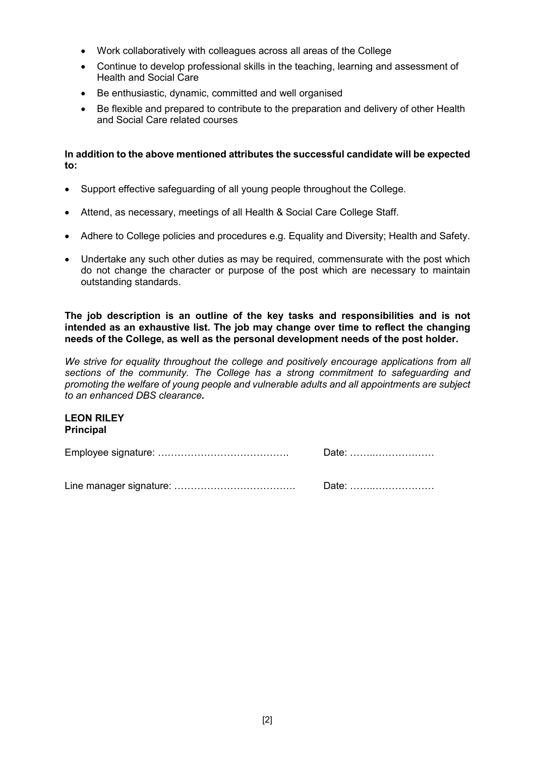- Work collaboratively with colleagues across all areas of the College
- Continue to develop professional skills in the teaching, learning and assessment of Health and Social Care
- Be enthusiastic, dynamic, committed and well organised
- Be flexible and prepared to contribute to the preparation and delivery of other Health and Social Care related courses

**In addition to the above mentioned attributes the successful candidate will be expected to:**

- Support effective safeguarding of all young people throughout the College.
- Attend, as necessary, meetings of all Health & Social Care College Staff.
- Adhere to College policies and procedures e.g. Equality and Diversity; Health and Safety.
- Undertake any such other duties as may be required, commensurate with the post which do not change the character or purpose of the post which are necessary to maintain outstanding standards.

**The job description is an outline of the key tasks and responsibilities and is not intended as an exhaustive list. The job may change over time to reflect the changing needs of the College, as well as the personal development needs of the post holder.**

*We strive for equality throughout the college and positively encourage applications from all sections of the community. The College has a strong commitment to safeguarding and promoting the welfare of young people and vulnerable adults and all appointments are subject to an enhanced DBS clearance.*

#### **LEON RILEY Principal**

Employee signature: …………………………………. Date: ……..………………

Line manager signature: ………………………………. Date: ……..………………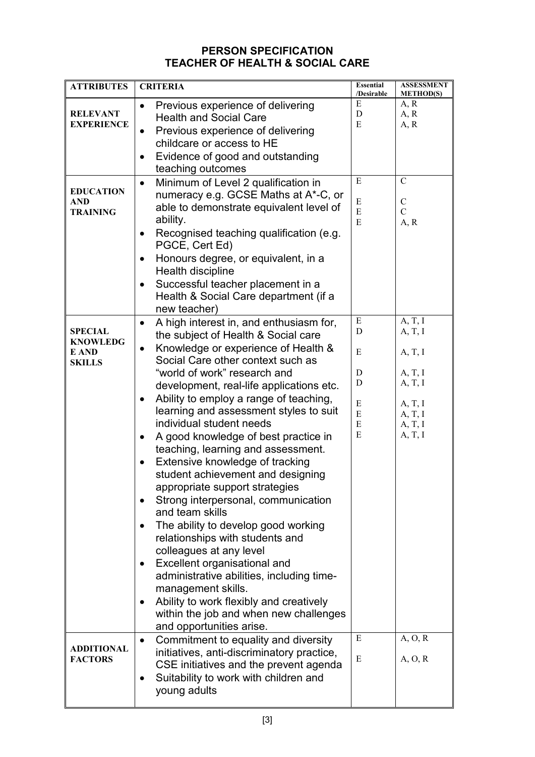## **PERSON SPECIFICATION TEACHER OF HEALTH & SOCIAL CARE**

| <b>ATTRIBUTES</b>                                           | <b>CRITERIA</b>                                                                                                                                                                                                                                                                                                                                                                                                                                                                                                                                                                                                                                                                                                                                                                                                                                                                                                                                                                         | <b>Essential</b><br>/Desirable            | <b>ASSESSMENT</b><br><b>METHOD(S)</b>                                                           |
|-------------------------------------------------------------|-----------------------------------------------------------------------------------------------------------------------------------------------------------------------------------------------------------------------------------------------------------------------------------------------------------------------------------------------------------------------------------------------------------------------------------------------------------------------------------------------------------------------------------------------------------------------------------------------------------------------------------------------------------------------------------------------------------------------------------------------------------------------------------------------------------------------------------------------------------------------------------------------------------------------------------------------------------------------------------------|-------------------------------------------|-------------------------------------------------------------------------------------------------|
| <b>RELEVANT</b><br><b>EXPERIENCE</b>                        | Previous experience of delivering<br>$\bullet$<br><b>Health and Social Care</b><br>Previous experience of delivering<br>$\bullet$<br>childcare or access to HE<br>Evidence of good and outstanding<br>teaching outcomes                                                                                                                                                                                                                                                                                                                                                                                                                                                                                                                                                                                                                                                                                                                                                                 | E<br>D<br>E                               | A, R<br>A, R<br>A, R                                                                            |
| <b>EDUCATION</b><br><b>AND</b><br><b>TRAINING</b>           | Minimum of Level 2 qualification in<br>$\bullet$<br>numeracy e.g. GCSE Maths at A*-C, or<br>able to demonstrate equivalent level of<br>ability.<br>Recognised teaching qualification (e.g.<br>$\bullet$<br>PGCE, Cert Ed)<br>Honours degree, or equivalent, in a<br>Health discipline<br>Successful teacher placement in a<br>Health & Social Care department (if a<br>new teacher)                                                                                                                                                                                                                                                                                                                                                                                                                                                                                                                                                                                                     | E<br>E<br>E<br>E                          | $\mathbf C$<br>$\mathsf{C}$<br>$\overline{C}$<br>A, R                                           |
| <b>SPECIAL</b><br><b>KNOWLEDG</b><br>E AND<br><b>SKILLS</b> | A high interest in, and enthusiasm for,<br>$\bullet$<br>the subject of Health & Social care<br>Knowledge or experience of Health &<br>$\bullet$<br>Social Care other context such as<br>"world of work" research and<br>development, real-life applications etc.<br>Ability to employ a range of teaching,<br>learning and assessment styles to suit<br>individual student needs<br>A good knowledge of best practice in<br>٠<br>teaching, learning and assessment.<br>Extensive knowledge of tracking<br>٠<br>student achievement and designing<br>appropriate support strategies<br>Strong interpersonal, communication<br>and team skills<br>The ability to develop good working<br>$\bullet$<br>relationships with students and<br>colleagues at any level<br>Excellent organisational and<br>٠<br>administrative abilities, including time-<br>management skills.<br>Ability to work flexibly and creatively<br>within the job and when new challenges<br>and opportunities arise. | E<br>D<br>E<br>D<br>D<br>E<br>E<br>E<br>E | A, T, I<br>A, T, I<br>A, T, I<br>A, T, I<br>A, T, I<br>A, T, I<br>A, T, I<br>A, T, I<br>A, T, I |
| <b>ADDITIONAL</b><br><b>FACTORS</b>                         | Commitment to equality and diversity<br>$\bullet$<br>initiatives, anti-discriminatory practice,<br>CSE initiatives and the prevent agenda<br>Suitability to work with children and<br>٠<br>young adults                                                                                                                                                                                                                                                                                                                                                                                                                                                                                                                                                                                                                                                                                                                                                                                 | E<br>E                                    | A, O, R<br>A, O, R                                                                              |